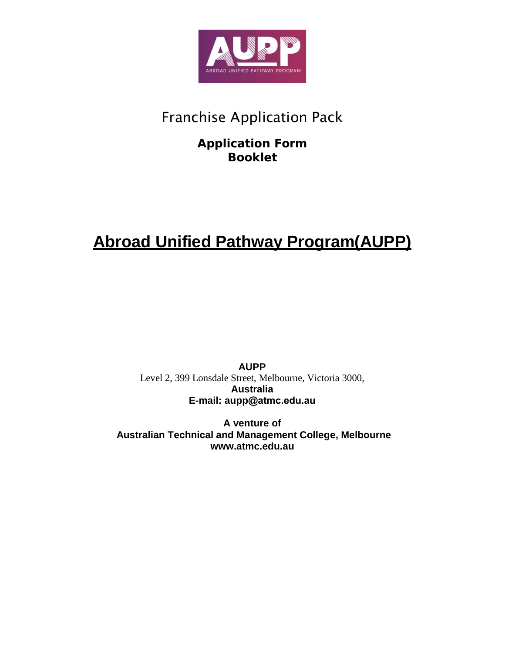

# Franchise Application Pack

# **Application Form Booklet**

# **Abroad Unified Pathway Program(AUPP)**

**AUPP** Level 2, 399 Lonsdale Street, Melbourne, Victoria 3000, **Australia E-mail: aupp[@atmc.edu.a](mailto:info@aupp.co)u**

**A venture of Australian Technical and Management College, Melbourn[e](http://www.atmc.edu.au/) [www.atmc.edu.au](http://www.atmc.edu.au/)**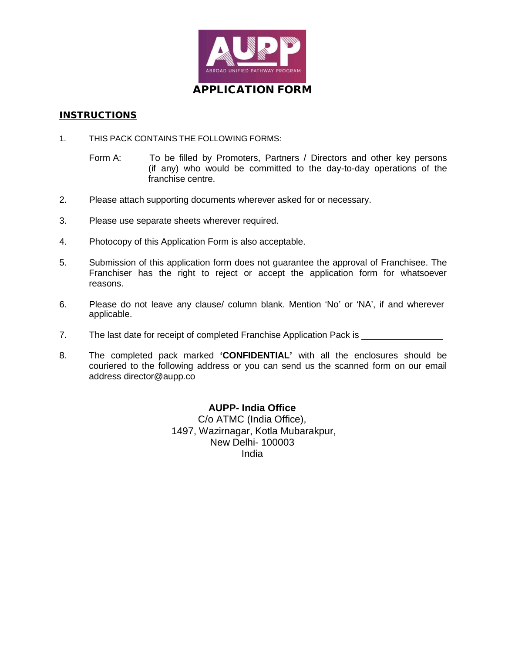

# APPLICATION FORM

#### **INSTRUCTIONS**

- 1. THIS PACK CONTAINS THE FOLLOWING FORMS:
	- Form A: To be filled by Promoters, Partners / Directors and other key persons (if any) who would be committed to the day-to-day operations of the franchise centre.
- 2. Please attach supporting documents wherever asked for or necessary.
- 3. Please use separate sheets wherever required.
- 4. Photocopy of this Application Form is also acceptable.
- 5. Submission of this application form does not guarantee the approval of Franchisee. The Franchiser has the right to reject or accept the application form for whatsoever reasons.
- 6. Please do not leave any clause/ column blank. Mention 'No' or 'NA', if and wherever applicable.
- 7. The last date for receipt of completed Franchise Application Pack is \_\_\_\_\_\_\_\_
- 8. The completed pack marked **'CONFIDENTIAL'** with all the enclosures should be couriered to the following address or you can send us the scanned form on our email address [director@aupp.co](mailto:director@aupp.co)

**AUPP- India Office** C/o ATMC (India Office), 1497, Wazirnagar, Kotla Mubarakpur, New Delhi- 100003 India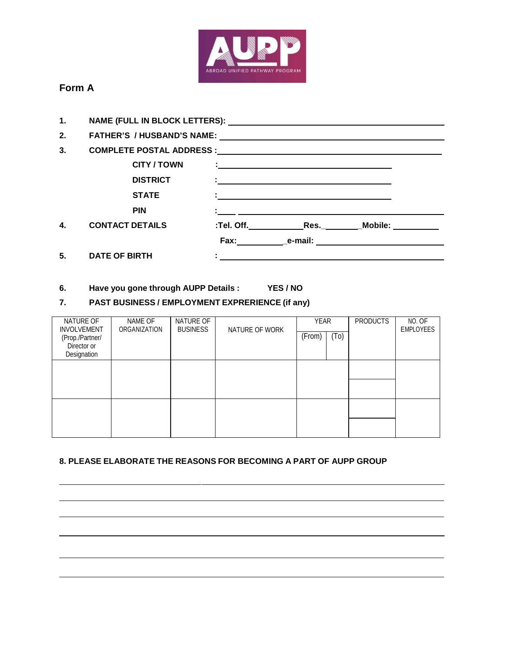

# **Form A**

| 1. |                        |  |                                                                    |                      |  |  |
|----|------------------------|--|--------------------------------------------------------------------|----------------------|--|--|
| 2. |                        |  |                                                                    |                      |  |  |
| 3. |                        |  |                                                                    |                      |  |  |
|    | <b>CITY/TOWN</b>       |  | <u> 1999 - Johann Stein, maritan and an international property</u> |                      |  |  |
|    | <b>DISTRICT</b>        |  |                                                                    |                      |  |  |
|    | <b>STATE</b>           |  |                                                                    |                      |  |  |
|    | <b>PIN</b>             |  |                                                                    |                      |  |  |
| 4. | <b>CONTACT DETAILS</b> |  |                                                                    |                      |  |  |
|    |                        |  |                                                                    | Fax: e-mail: e-mail: |  |  |
| 5. | <b>DATE OF BIRTH</b>   |  |                                                                    |                      |  |  |

# **6. Have you gone through AUPP Details : YES / NO**

## **7. PAST BUSINESS / EMPLOYMENT EXPRERIENCE (if any)**

| NATURE OF<br><b>INVOLVEMENT</b>               | NAME OF<br>ORGANIZATION | NATURE OF<br><b>BUSINESS</b> | NATURE OF WORK | YEAR   |                   | <b>PRODUCTS</b> | NO. OF<br><b>EMPLOYEES</b> |
|-----------------------------------------------|-------------------------|------------------------------|----------------|--------|-------------------|-----------------|----------------------------|
| (Prop./Partner/<br>Director or<br>Designation |                         |                              |                | (From) | (T <sub>0</sub> ) |                 |                            |
|                                               |                         |                              |                |        |                   |                 |                            |
|                                               |                         |                              |                |        |                   |                 |                            |
|                                               |                         |                              |                |        |                   |                 |                            |
|                                               |                         |                              |                |        |                   |                 |                            |

### **8. PLEASE ELABORATE THE REASONS FOR BECOMING A PART OF AUPP GROUP**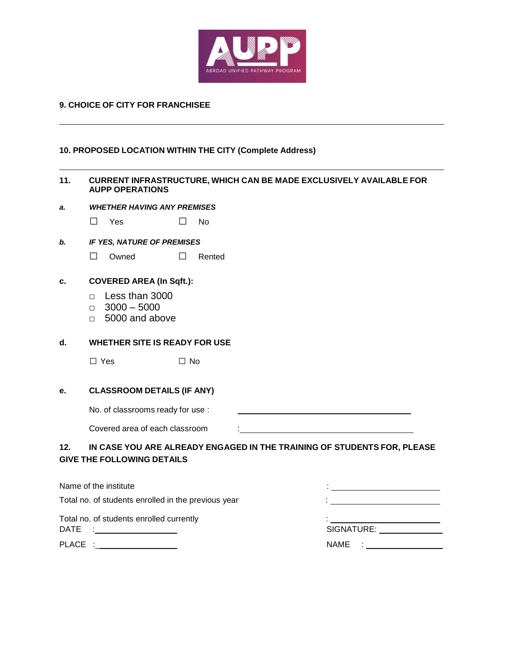

#### **9. CHOICE OF CITY FOR FRANCHISEE**

#### **10. PROPOSED LOCATION WITHIN THE CITY (Complete Address)**

#### **11. CURRENT INFRASTRUCTURE, WHICH CAN BE MADE EXCLUSIVELY AVAILABLE FOR AUPP OPERATIONS**

*a. WHETHER HAVING ANY PREMISES*

□ Yes □ No

*b. IF YES, NATURE OF PREMISES*

□ Owned □ Rented

#### **c. COVERED AREA (In Sqft.):**

- □ Less than 3000
- $\Box$  3000 5000
- □ 5000 and above

#### **d. WHETHER SITE IS READY FOR USE**

□ Yes □ No

#### **e. CLASSROOM DETAILS (IF ANY)**

No. of classrooms ready for use :

Covered area of each classroom :

### **12. IN CASE YOU ARE ALREADY ENGAGED IN THE TRAINING OF STUDENTS FOR, PLEASE GIVE THE FOLLOWING DETAILS**

| Name of the institute                               |                                                                                                                                                                                                                                |  |  |
|-----------------------------------------------------|--------------------------------------------------------------------------------------------------------------------------------------------------------------------------------------------------------------------------------|--|--|
| Total no. of students enrolled in the previous year |                                                                                                                                                                                                                                |  |  |
| Total no. of students enrolled currently            | SIGNATURE: And the set of the set of the set of the set of the set of the set of the set of the set of the set of the set of the set of the set of the set of the set of the set of the set of the set of the set of the set o |  |  |
|                                                     | NAME : _____________                                                                                                                                                                                                           |  |  |